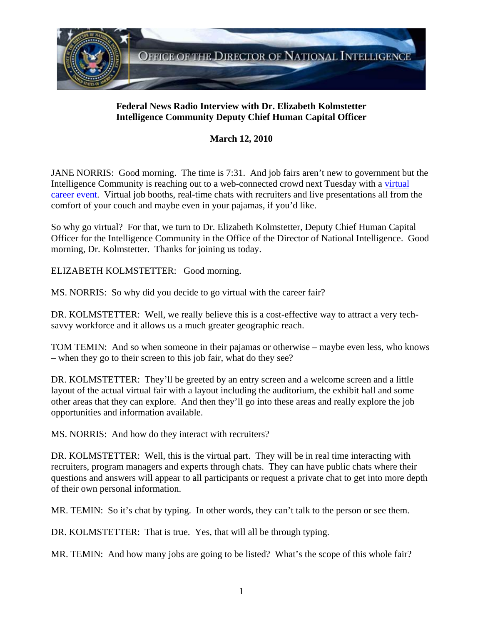

## **Federal News Radio Interview with Dr. Elizabeth Kolmstetter Intelligence Community Deputy Chief Human Capital Officer**

**March 12, 2010**

JANE NORRIS: Good morning. The time is 7:31. And job fairs aren't new to government but the Intelligence Community is reaching out to a web-connected crowd next Tuesday with a [virtual](http://www.icvirtualfair.com/)  [career event](http://www.icvirtualfair.com/). Virtual job booths, real-time chats with recruiters and live presentations all from the comfort of your couch and maybe even in your pajamas, if you'd like.

So why go virtual? For that, we turn to Dr. Elizabeth Kolmstetter, Deputy Chief Human Capital Officer for the Intelligence Community in the Office of the Director of National Intelligence. Good morning, Dr. Kolmstetter. Thanks for joining us today.

ELIZABETH KOLMSTETTER: Good morning.

MS. NORRIS: So why did you decide to go virtual with the career fair?

DR. KOLMSTETTER: Well, we really believe this is a cost-effective way to attract a very techsavvy workforce and it allows us a much greater geographic reach.

TOM TEMIN: And so when someone in their pajamas or otherwise – maybe even less, who knows – when they go to their screen to this job fair, what do they see?

DR. KOLMSTETTER: They'll be greeted by an entry screen and a welcome screen and a little layout of the actual virtual fair with a layout including the auditorium, the exhibit hall and some other areas that they can explore. And then they'll go into these areas and really explore the job opportunities and information available.

MS. NORRIS: And how do they interact with recruiters?

DR. KOLMSTETTER: Well, this is the virtual part. They will be in real time interacting with recruiters, program managers and experts through chats. They can have public chats where their questions and answers will appear to all participants or request a private chat to get into more depth of their own personal information.

MR. TEMIN: So it's chat by typing. In other words, they can't talk to the person or see them.

DR. KOLMSTETTER: That is true. Yes, that will all be through typing.

MR. TEMIN: And how many jobs are going to be listed? What's the scope of this whole fair?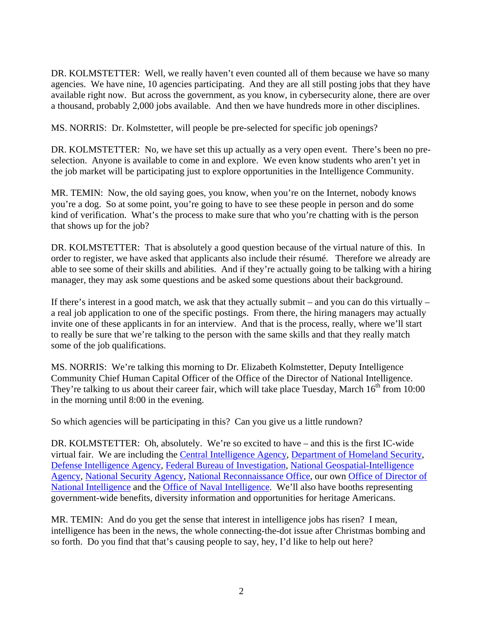DR. KOLMSTETTER: Well, we really haven't even counted all of them because we have so many agencies. We have nine, 10 agencies participating. And they are all still posting jobs that they have available right now. But across the government, as you know, in cybersecurity alone, there are over a thousand, probably 2,000 jobs available. And then we have hundreds more in other disciplines.

MS. NORRIS: Dr. Kolmstetter, will people be pre-selected for specific job openings?

DR. KOLMSTETTER: No, we have set this up actually as a very open event. There's been no preselection. Anyone is available to come in and explore. We even know students who aren't yet in the job market will be participating just to explore opportunities in the Intelligence Community.

MR. TEMIN: Now, the old saying goes, you know, when you're on the Internet, nobody knows you're a dog. So at some point, you're going to have to see these people in person and do some kind of verification. What's the process to make sure that who you're chatting with is the person that shows up for the job?

DR. KOLMSTETTER: That is absolutely a good question because of the virtual nature of this. In order to register, we have asked that applicants also include their résumé. Therefore we already are able to see some of their skills and abilities. And if they're actually going to be talking with a hiring manager, they may ask some questions and be asked some questions about their background.

If there's interest in a good match, we ask that they actually submit – and you can do this virtually – a real job application to one of the specific postings. From there, the hiring managers may actually invite one of these applicants in for an interview. And that is the process, really, where we'll start to really be sure that we're talking to the person with the same skills and that they really match some of the job qualifications.

MS. NORRIS: We're talking this morning to Dr. Elizabeth Kolmstetter, Deputy Intelligence Community Chief Human Capital Officer of the Office of the Director of National Intelligence. They're talking to us about their career fair, which will take place Tuesday, March  $16<sup>th</sup>$  from 10:00 in the morning until 8:00 in the evening.

So which agencies will be participating in this? Can you give us a little rundown?

DR. KOLMSTETTER: Oh, absolutely. We're so excited to have – and this is the first IC-wide virtual fair. We are including the [Central Intelligence Agency,](http://www.cia.gov/) [Department of Homeland Security,](http://www.dhs.gov/) [Defense Intelligence Agency](http://www.dia.mil/), [Federal Bureau of Investigation](http://www.fbi.gov/), [National Geospatial-Intelligence](http://www.nga.mil/)  [Agency](http://www.nga.mil/), [National Security Agency,](http://www.nsa.gov/Careers) [National Reconnaissance Office](http://www.nro.gov/), our own [Office of Director of](http://www.dni.gov/)  [National Intelligence](http://www.dni.gov/) and the [Office of Naval Intelligence.](http://www.nmic.navy.mil/) We'll also have booths representing government-wide benefits, diversity information and opportunities for heritage Americans.

MR. TEMIN: And do you get the sense that interest in intelligence jobs has risen? I mean, intelligence has been in the news, the whole connecting-the-dot issue after Christmas bombing and so forth. Do you find that that's causing people to say, hey, I'd like to help out here?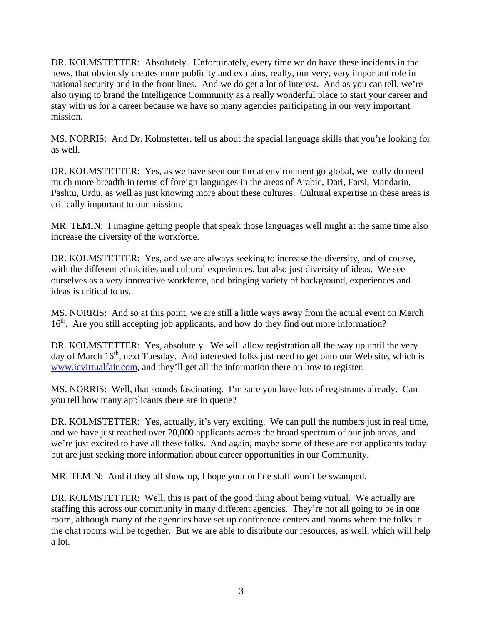DR. KOLMSTETTER: Absolutely. Unfortunately, every time we do have these incidents in the news, that obviously creates more publicity and explains, really, our very, very important role in national security and in the front lines. And we do get a lot of interest. And as you can tell, we're also trying to brand the Intelligence Community as a really wonderful place to start your career and stay with us for a career because we have so many agencies participating in our very important mission.

MS. NORRIS: And Dr. Kolmstetter, tell us about the special language skills that you're looking for as well.

DR. KOLMSTETTER: Yes, as we have seen our threat environment go global, we really do need much more breadth in terms of foreign languages in the areas of Arabic, Dari, Farsi, Mandarin, Pashtu, Urdu, as well as just knowing more about these cultures. Cultural expertise in these areas is critically important to our mission.

MR. TEMIN: I imagine getting people that speak those languages well might at the same time also increase the diversity of the workforce.

DR. KOLMSTETTER: Yes, and we are always seeking to increase the diversity, and of course, with the different ethnicities and cultural experiences, but also just diversity of ideas. We see ourselves as a very innovative workforce, and bringing variety of background, experiences and ideas is critical to us.

MS. NORRIS: And so at this point, we are still a little ways away from the actual event on March 16<sup>th</sup>. Are you still accepting job applicants, and how do they find out more information?

DR. KOLMSTETTER: Yes, absolutely. We will allow registration all the way up until the very day of March  $16<sup>th</sup>$ , next Tuesday. And interested folks just need to get onto our Web site, which is [www.icvirtualfair.com](http://www.icvirtualfair.com/), and they'll get all the information there on how to register.

MS. NORRIS: Well, that sounds fascinating. I'm sure you have lots of registrants already. Can you tell how many applicants there are in queue?

DR. KOLMSTETTER: Yes, actually, it's very exciting. We can pull the numbers just in real time, and we have just reached over 20,000 applicants across the broad spectrum of our job areas, and we're just excited to have all these folks. And again, maybe some of these are not applicants today but are just seeking more information about career opportunities in our Community.

MR. TEMIN: And if they all show up, I hope your online staff won't be swamped.

DR. KOLMSTETTER: Well, this is part of the good thing about being virtual. We actually are staffing this across our community in many different agencies. They're not all going to be in one room, although many of the agencies have set up conference centers and rooms where the folks in the chat rooms will be together. But we are able to distribute our resources, as well, which will help a lot.